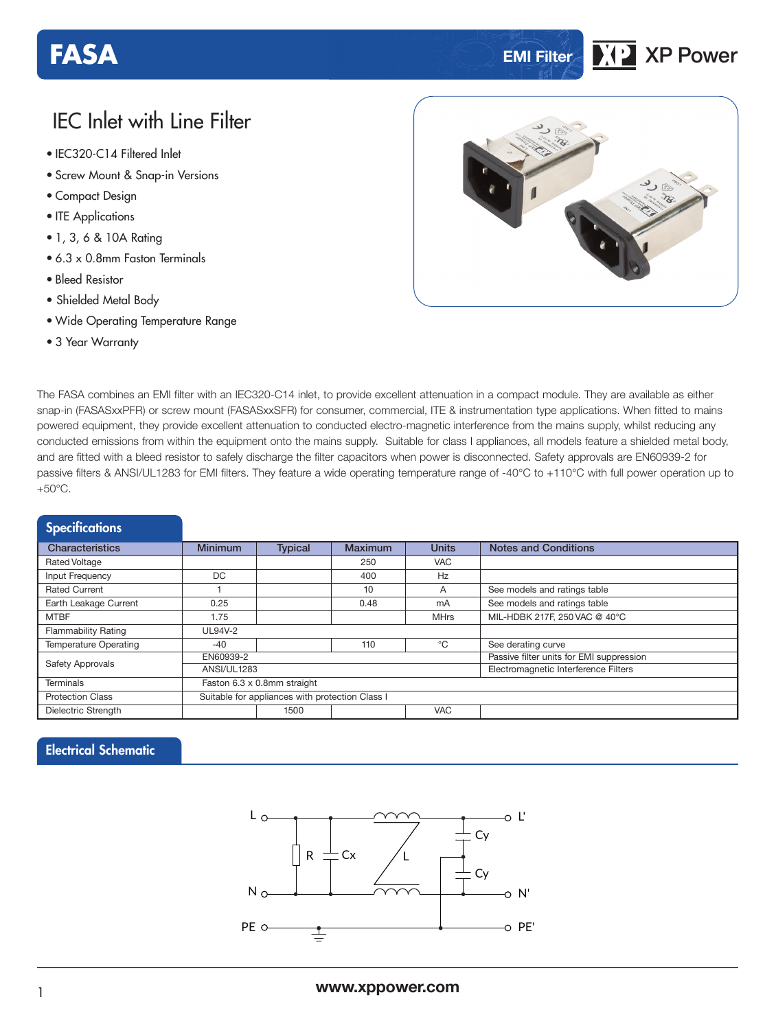# **FASA EMI Filter XP** XP Power

# IEC Inlet with Line Filter

- **xxx Series** IEC320-C14 Filtered Inlet
- Screw Mount & Snap-in Versions
- Compact Design
- ITE Applications
- 1, 3, 6 & 10A Rating
- 6.3 x 0.8mm Faston Terminals
- Bleed Resistor
- Shielded Metal Body
- Wide Operating Temperature Range
- 3 Year Warranty



The FASA combines an EMI filter with an IEC320-C14 inlet, to provide excellent attenuation in a compact module. They are available as either snap-in (FASASxxPFR) or screw mount (FASASxxSFR) for consumer, commercial, ITE & instrumentation type applications. When fitted to mains powered equipment, they provide excellent attenuation to conducted electro-magnetic interference from the mains supply, whilst reducing any conducted emissions from within the equipment onto the mains supply. Suitable for class I appliances, all models feature a shielded metal body, and are fitted with a bleed resistor to safely discharge the filter capacitors when power is disconnected. Safety approvals are EN60939-2 for passive filters & ANSI/UL1283 for EMI filters. They feature a wide operating temperature range of -40°C to +110°C with full power operation up to  $+50^{\circ}$ C.

| <b>Specifications</b>        |                                                 |                |                |                                          |                               |  |  |
|------------------------------|-------------------------------------------------|----------------|----------------|------------------------------------------|-------------------------------|--|--|
| Characteristics              | <b>Minimum</b>                                  | <b>Typical</b> | <b>Maximum</b> | <b>Units</b>                             | <b>Notes and Conditions</b>   |  |  |
| <b>Rated Voltage</b>         |                                                 |                | 250            | <b>VAC</b>                               |                               |  |  |
| Input Frequency              | DC                                              |                | 400            | Hz                                       |                               |  |  |
| Rated Current                |                                                 |                | 10             | A                                        | See models and ratings table  |  |  |
| Earth Leakage Current        | 0.25                                            |                | 0.48           | mA                                       | See models and ratings table  |  |  |
| <b>MTBF</b>                  | 1.75                                            |                |                | <b>MHrs</b>                              | MIL-HDBK 217F, 250 VAC @ 40°C |  |  |
| <b>Flammability Rating</b>   | <b>UL94V-2</b>                                  |                |                |                                          |                               |  |  |
| <b>Temperature Operating</b> | $-40$                                           |                | 110            | °C                                       | See derating curve            |  |  |
|                              | EN60939-2                                       |                |                | Passive filter units for EMI suppression |                               |  |  |
| <b>Safety Approvals</b>      | <b>ANSI/UL1283</b>                              |                |                | Electromagnetic Interference Filters     |                               |  |  |
| <b>Terminals</b>             | Faston 6.3 x 0.8mm straight                     |                |                |                                          |                               |  |  |
| <b>Protection Class</b>      | Suitable for appliances with protection Class I |                |                |                                          |                               |  |  |
| Dielectric Strength          | <b>VAC</b><br>1500                              |                |                |                                          |                               |  |  |

### Electrical Schematic

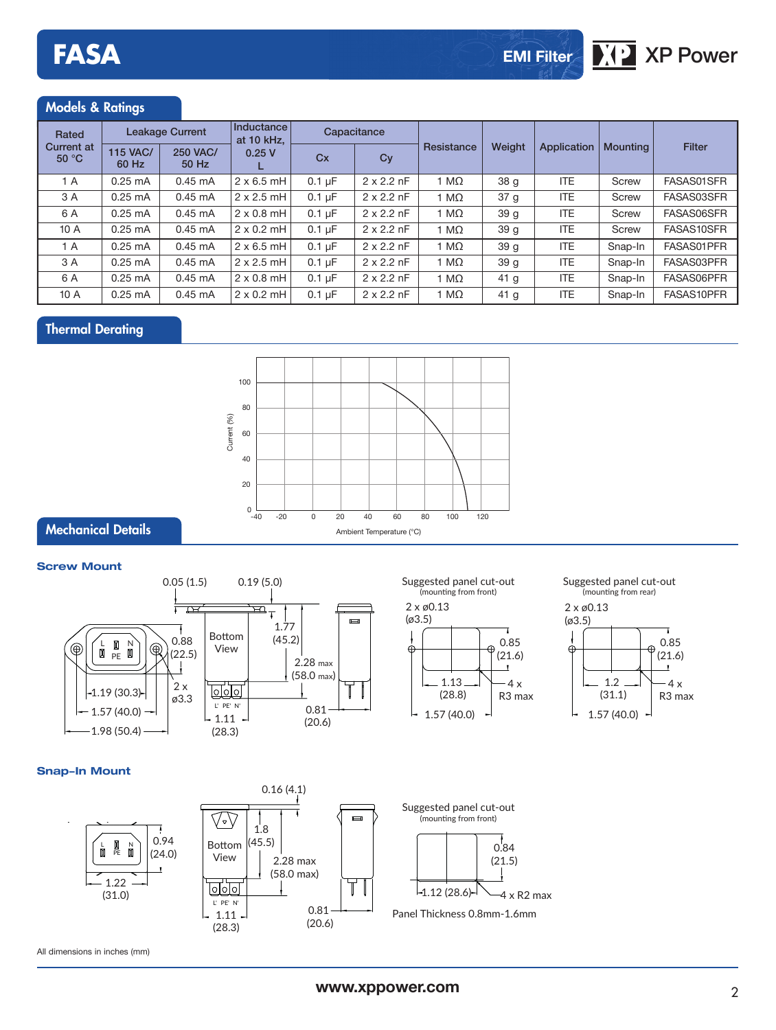#### Models & Ratings

| Rated                      | <b>Leakage Current</b>   |                          | Inductance<br>at 10 kHz. | Capacitance      |                   |              |                 |             |                 |               |
|----------------------------|--------------------------|--------------------------|--------------------------|------------------|-------------------|--------------|-----------------|-------------|-----------------|---------------|
| <b>Current at</b><br>50 °C | <b>115 VAC/</b><br>60 Hz | <b>250 VAC/</b><br>50 Hz | 0.25V                    | Cx               | Cy                | Resistance   | Weight          | Application | <b>Mounting</b> | <b>Filter</b> |
| 1A                         | $0.25 \text{ mA}$        | $0.45 \text{ mA}$        | $2 \times 6.5$ mH        | $0.1 \text{ uF}$ | $2 \times 2.2$ nF | 1 M $\Omega$ | 38 g            | <b>ITE</b>  | Screw           | FASAS01SFR    |
| 3 A                        | $0.25$ mA                | $0.45 \text{ mA}$        | $2 \times 2.5$ mH        | $0.1 \mu F$      | $2 \times 2.2$ nF | 1 M $\Omega$ | 37 g            | ITE.        | Screw           | FASAS03SFR    |
| 6 A                        | $0.25$ mA                | $0.45 \text{ mA}$        | $2 \times 0.8$ mH        | $0.1 \mu F$      | $2 \times 2.2$ nF | 1 M $\Omega$ | 39 <sub>g</sub> | ITE.        | Screw           | FASAS06SFR    |
| 10 A                       | $0.25 \text{ mA}$        | $0.45 \text{ mA}$        | $2 \times 0.2$ mH        | $0.1 \mu F$      | $2 \times 2.2$ nF | 1 M $\Omega$ | 39 <sub>g</sub> | <b>ITE</b>  | Screw           | FASAS10SFR    |
| 1 A                        | $0.25$ mA                | $0.45 \text{ mA}$        | $2 \times 6.5$ mH        | $0.1 \mu F$      | $2 \times 2.2$ nF | 1 M $\Omega$ | 39q             | ITE.        | Snap-In         | FASAS01PFR    |
| 3 A                        | $0.25$ mA                | $0.45 \text{ mA}$        | $2 \times 2.5$ mH        | $0.1 \mu F$      | $2 \times 2.2$ nF | 1 M $\Omega$ | 39 <sub>g</sub> | ITE.        | Snap-In         | FASAS03PFR    |
| 6 A                        | $0.25 \text{ mA}$        | $0.45$ mA                | $2 \times 0.8$ mH        | $0.1 \mu F$      | $2 \times 2.2$ nF | 1 M $\Omega$ | 41 <sub>g</sub> | <b>ITE</b>  | Snap-In         | FASAS06PFR    |
| 10 A                       | $0.25 \text{ mA}$        | $0.45 \text{ mA}$        | $2 \times 0.2$ mH        | $0.1 \mu F$      | $2 \times 2.2$ nF | 1 M $\Omega$ | 41 <sub>q</sub> | <b>ITE</b>  | Snap-In         | FASAS10PFR    |

### Thermal Derating



#### **Screw Mount**

Mechanical Details



# Suggested panel cut-out<br>(mounting from rear)



#### **Snap-In Mount**







All dimensions in inches (mm)